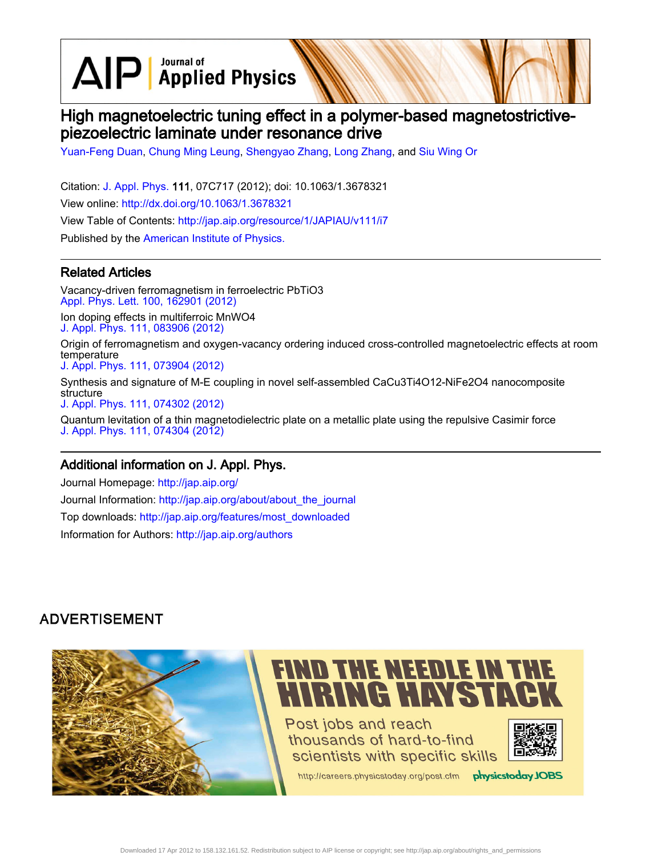$\text{AlP}$  Applied Physics

# High magnetoelectric tuning effect in a polymer-based magnetostrictivepiezoelectric laminate under resonance drive

[Yuan-Feng Duan](http://jap.aip.org/search?sortby=newestdate&q=&searchzone=2&searchtype=searchin&faceted=faceted&key=AIP_ALL&possible1=Yuan-Feng Duan&possible1zone=author&alias=&displayid=AIP&ver=pdfcov), [Chung Ming Leung](http://jap.aip.org/search?sortby=newestdate&q=&searchzone=2&searchtype=searchin&faceted=faceted&key=AIP_ALL&possible1=Chung Ming Leung&possible1zone=author&alias=&displayid=AIP&ver=pdfcov), [Shengyao Zhang,](http://jap.aip.org/search?sortby=newestdate&q=&searchzone=2&searchtype=searchin&faceted=faceted&key=AIP_ALL&possible1=Shengyao Zhang&possible1zone=author&alias=&displayid=AIP&ver=pdfcov) [Long Zhang,](http://jap.aip.org/search?sortby=newestdate&q=&searchzone=2&searchtype=searchin&faceted=faceted&key=AIP_ALL&possible1=Long Zhang&possible1zone=author&alias=&displayid=AIP&ver=pdfcov) and [Siu Wing Or](http://jap.aip.org/search?sortby=newestdate&q=&searchzone=2&searchtype=searchin&faceted=faceted&key=AIP_ALL&possible1=Siu Wing Or&possible1zone=author&alias=&displayid=AIP&ver=pdfcov)

Citation: [J. Appl. Phys.](http://jap.aip.org/?ver=pdfcov) 111, 07C717 (2012); doi: 10.1063/1.3678321 View online: [http://dx.doi.org/10.1063/1.3678321](http://link.aip.org/link/doi/10.1063/1.3678321?ver=pdfcov) View Table of Contents: [http://jap.aip.org/resource/1/JAPIAU/v111/i7](http://jap.aip.org/resource/1/JAPIAU/v111/i7?ver=pdfcov) Published by the [American Institute of Physics.](http://www.aip.org/?ver=pdfcov)

## Related Articles

Vacancy-driven ferromagnetism in ferroelectric PbTiO3 [Appl. Phys. Lett. 100, 162901 \(2012\)](http://link.aip.org/link/doi/10.1063/1.4704362?ver=pdfcov) Ion doping effects in multiferroic MnWO4 [J. Appl. Phys. 111, 083906 \(2012\)](http://link.aip.org/link/doi/10.1063/1.4703913?ver=pdfcov)

Origin of ferromagnetism and oxygen-vacancy ordering induced cross-controlled magnetoelectric effects at room temperature

[J. Appl. Phys. 111, 073904 \(2012\)](http://link.aip.org/link/doi/10.1063/1.3696979?ver=pdfcov)

Synthesis and signature of M-E coupling in novel self-assembled CaCu3Ti4O12-NiFe2O4 nanocomposite structure [J. Appl. Phys. 111, 074302 \(2012\)](http://link.aip.org/link/doi/10.1063/1.3698499?ver=pdfcov)

Quantum levitation of a thin magnetodielectric plate on a metallic plate using the repulsive Casimir force [J. Appl. Phys. 111, 074304 \(2012\)](http://link.aip.org/link/doi/10.1063/1.3698619?ver=pdfcov)

#### Additional information on J. Appl. Phys.

Journal Homepage: [http://jap.aip.org/](http://jap.aip.org/?ver=pdfcov) Journal Information: [http://jap.aip.org/about/about\\_the\\_journal](http://jap.aip.org/about/about_the_journal?ver=pdfcov) Top downloads: [http://jap.aip.org/features/most\\_downloaded](http://jap.aip.org/features/most_downloaded?ver=pdfcov) Information for Authors: [http://jap.aip.org/authors](http://jap.aip.org/authors?ver=pdfcov)

# **ADVERTISEMENT**

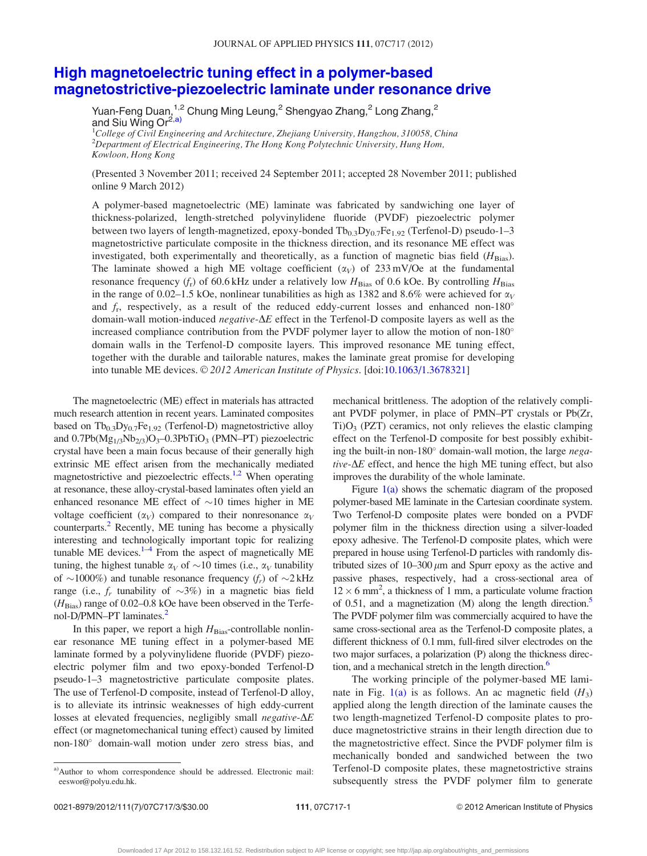## [High magnetoelectric tuning effect in a polymer-based](http://dx.doi.org/10.1063/1.3678321) [magnetostrictive-piezoelectric laminate under resonance drive](http://dx.doi.org/10.1063/1.3678321)

Yuan-Feng Duan, $^{1,2}$  Chung Ming Leung, $^2$  Shengyao Zhang, $^2$  Long Zhang, $^2$ and Siu Wing Or<sup>2,a)</sup>

<sup>1</sup>College of Civil Engineering and Architecture, Zhejiang University, Hangzhou, 310058, China  $^{2}$ Department of Electrical Engineering, The Hong Kong Polytechnic University, Hung Hom, Kowloon, Hong Kong

(Presented 3 November 2011; received 24 September 2011; accepted 28 November 2011; published online 9 March 2012)

A polymer-based magnetoelectric (ME) laminate was fabricated by sandwiching one layer of thickness-polarized, length-stretched polyvinylidene fluoride (PVDF) piezoelectric polymer between two layers of length-magnetized, epoxy-bonded  $Tb_{0.3}Dy_{0.7}Fe_{1.92}$  (Terfenol-D) pseudo-1–3 magnetostrictive particulate composite in the thickness direction, and its resonance ME effect was investigated, both experimentally and theoretically, as a function of magnetic bias field  $(H_{\text{Bias}})$ . The laminate showed a high ME voltage coefficient  $(\alpha_V)$  of 233 mV/Oe at the fundamental resonance frequency  $(f_r)$  of 60.6 kHz under a relatively low  $H_{\text{Bias}}$  of 0.6 kOe. By controlling  $H_{\text{Bias}}$ in the range of 0.02–1.5 kOe, nonlinear tunabilities as high as 1382 and 8.6% were achieved for  $\alpha_V$ and  $f_r$ , respectively, as a result of the reduced eddy-current losses and enhanced non-180 $^{\circ}$ domain-wall motion-induced *negative-* $\Delta E$  effect in the Terfenol-D composite layers as well as the increased compliance contribution from the PVDF polymer layer to allow the motion of non-180 $^{\circ}$ domain walls in the Terfenol-D composite layers. This improved resonance ME tuning effect, together with the durable and tailorable natures, makes the laminate great promise for developing into tunable ME devices.  $\odot$  2012 American Institute of Physics. [doi[:10.1063/1.3678321](http://dx.doi.org/10.1063/1.3678321)]

The magnetoelectric (ME) effect in materials has attracted much research attention in recent years. Laminated composites based on  $Tb_{0,3}Dy_{0,7}Fe_{1,92}$  (Terfenol-D) magnetostrictive alloy and  $0.7Pb(Mg_{1/3}Nb_{2/3})O_3-0.3PbTiO_3$  (PMN–PT) piezoelectric crystal have been a main focus because of their generally high extrinsic ME effect arisen from the mechanically mediated magnetostrictive and piezoelectric effects.<sup>[1,2](#page-3-0)</sup> When operating at resonance, these alloy-crystal-based laminates often yield an enhanced resonance ME effect of  $\sim$ 10 times higher in ME voltage coefficient  $(\alpha_V)$  compared to their nonresonance  $\alpha_V$ counterparts.<sup>2</sup> Recently, ME tuning has become a physically interesting and technologically important topic for realizing tunable ME devices. $1-4$  From the aspect of magnetically ME tuning, the highest tunable  $\alpha_V$  of  $\sim$ 10 times (i.e.,  $\alpha_V$  tunability of  $\sim$ 1000%) and tunable resonance frequency (f<sub>r</sub>) of  $\sim$ 2 kHz range (i.e.,  $f_r$  tunability of  $\sim 3\%$ ) in a magnetic bias field  $(H_{\text{Bias}})$  range of 0.02–0.8 kOe have been observed in the Terfe-nol-D/PMN–PT laminates.<sup>[2](#page-3-0)</sup>

In this paper, we report a high  $H_{\text{Bias}}$ -controllable nonlinear resonance ME tuning effect in a polymer-based ME laminate formed by a polyvinylidene fluoride (PVDF) piezoelectric polymer film and two epoxy-bonded Terfenol-D pseudo-1–3 magnetostrictive particulate composite plates. The use of Terfenol-D composite, instead of Terfenol-D alloy, is to alleviate its intrinsic weaknesses of high eddy-current losses at elevated frequencies, negligibly small *negative-* $\Delta E$ effect (or magnetomechanical tuning effect) caused by limited non-180° domain-wall motion under zero stress bias, and

mechanical brittleness. The adoption of the relatively compliant PVDF polymer, in place of PMN–PT crystals or Pb(Zr,  $Ti)O<sub>3</sub>$  (PZT) ceramics, not only relieves the elastic clamping effect on the Terfenol-D composite for best possibly exhibiting the built-in non-180° domain-wall motion, the large negative- $\Delta E$  effect, and hence the high ME tuning effect, but also improves the durability of the whole laminate.

Figure  $1(a)$  shows the schematic diagram of the proposed polymer-based ME laminate in the Cartesian coordinate system. Two Terfenol-D composite plates were bonded on a PVDF polymer film in the thickness direction using a silver-loaded epoxy adhesive. The Terfenol-D composite plates, which were prepared in house using Terfenol-D particles with randomly distributed sizes of  $10-300 \mu m$  and Spurr epoxy as the active and passive phases, respectively, had a cross-sectional area of  $12 \times 6$  mm<sup>2</sup>, a thickness of 1 mm, a particulate volume fraction of 0[.5](#page-3-0)1, and a magnetization  $(M)$  along the length direction.<sup>5</sup> The PVDF polymer film was commercially acquired to have the same cross-sectional area as the Terfenol-D composite plates, a different thickness of 0.1 mm, full-fired silver electrodes on the two major surfaces, a polarization (P) along the thickness direc-tion, and a mechanical stretch in the length direction.<sup>[6](#page-3-0)</sup>

The working principle of the polymer-based ME laminate in Fig.  $1(a)$  is as follows. An ac magnetic field  $(H_3)$ applied along the length direction of the laminate causes the two length-magnetized Terfenol-D composite plates to produce magnetostrictive strains in their length direction due to the magnetostrictive effect. Since the PVDF polymer film is mechanically bonded and sandwiched between the two Terfenol-D composite plates, these magnetostrictive strains subsequently stress the PVDF polymer film to generate

a)Author to whom correspondence should be addressed. Electronic mail: eeswor@polyu.edu.hk.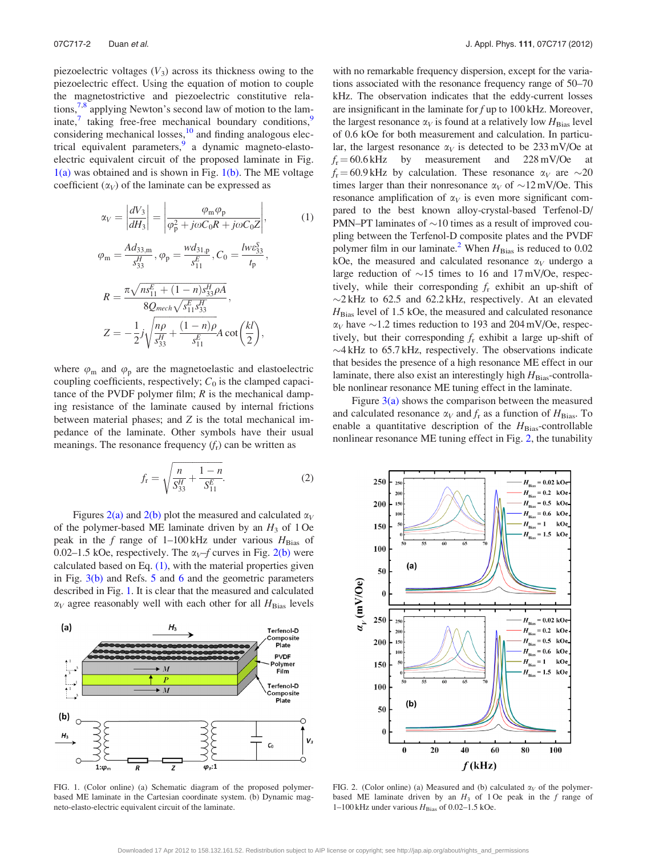<span id="page-2-0"></span>piezoelectric voltages  $(V_3)$  across its thickness owing to the piezoelectric effect. Using the equation of motion to couple the magnetostrictive and piezoelectric constitutive rela-tions,<sup>[7,8](#page-3-0)</sup> applying Newton's second law of motion to the laminate, $\frac{7}{7}$  taking free-free mechanical boundary conditions, $\frac{9}{7}$  $\frac{9}{7}$  $\frac{9}{7}$ considering mechanical losses, $^{10}$  $^{10}$  $^{10}$  and finding analogous elec-trical equivalent parameters,<sup>[9](#page-3-0)</sup> a dynamic magneto-elastoelectric equivalent circuit of the proposed laminate in Fig.  $1(a)$  was obtained and is shown in Fig.  $1(b)$ . The ME voltage coefficient  $(\alpha_V)$  of the laminate can be expressed as

$$
\alpha_V = \left| \frac{dV_3}{dH_3} \right| = \left| \frac{\varphi_m \varphi_p}{\varphi_p^2 + j\omega C_0 R + j\omega C_0 Z} \right|,\tag{1}
$$

$$
\varphi_{\rm m} = \frac{Ad_{33,m}}{s_{33}^H}, \varphi_{\rm p} = \frac{wd_{31,p}}{s_{11}^E}, C_0 = \frac{lwe_{33}^S}{t_{\rm p}},
$$
  

$$
R = \frac{\pi \sqrt{ns_{11}^E + (1-n)s_{33}^H\rho A}}{8Q_{mech}\sqrt{s_{11}^E s_{33}^H}},
$$
  

$$
Z = -\frac{1}{2}j\sqrt{\frac{np}{s_{33}^H} + \frac{(1-n)\rho}{s_{11}^E}A}\cot\left(\frac{kl}{2}\right),
$$

where  $\varphi_m$  and  $\varphi_p$  are the magnetoelastic and elastoelectric coupling coefficients, respectively;  $C_0$  is the clamped capacitance of the PVDF polymer film;  $R$  is the mechanical damping resistance of the laminate caused by internal frictions between material phases; and Z is the total mechanical impedance of the laminate. Other symbols have their usual meanings. The resonance frequency  $(f_r)$  can be written as

$$
f_{\rm r} = \sqrt{\frac{n}{S_{33}^H} + \frac{1-n}{S_{11}^E}}.\tag{2}
$$

Figures 2(a) and 2(b) plot the measured and calculated  $\alpha_V$ of the polymer-based ME laminate driven by an  $H_3$  of 1 Oe peak in the f range of 1-100 kHz under various  $H_{\text{Bias}}$  of 0.02–1.5 kOe, respectively. The  $\alpha_V$ –f curves in Fig. 2(b) were calculated based on Eq.  $(1)$ , with the material properties given in Fig.  $3(b)$  and Refs. [5](#page-3-0) and [6](#page-3-0) and the geometric parameters described in Fig. 1. It is clear that the measured and calculated  $\alpha_V$  agree reasonably well with each other for all  $H_{\text{Bias}}$  levels



FIG. 1. (Color online) (a) Schematic diagram of the proposed polymerbased ME laminate in the Cartesian coordinate system. (b) Dynamic magneto-elasto-electric equivalent circuit of the laminate.

with no remarkable frequency dispersion, except for the variations associated with the resonance frequency range of 50–70 kHz. The observation indicates that the eddy-current losses are insignificant in the laminate for  $f$  up to 100 kHz. Moreover, the largest resonance  $\alpha_V$  is found at a relatively low  $H_{\text{Bias}}$  level of 0.6 kOe for both measurement and calculation. In particular, the largest resonance  $\alpha_V$  is detected to be 233 mV/Oe at  $f_r = 60.6$  kHz by measurement and 228 mV/Oe at  $f_r = 60.9$  kHz by calculation. These resonance  $\alpha_V$  are  $\sim 20$ times larger than their nonresonance  $\alpha_V$  of  $\sim$ 12 mV/Oe. This resonance amplification of  $\alpha_V$  is even more significant compared to the best known alloy-crystal-based Terfenol-D/ PMN–PT laminates of  $\sim$ 10 times as a result of improved coupling between the Terfenol-D composite plates and the PVDF polymer film in our laminate.<sup>[2](#page-3-0)</sup> When  $H_{\text{Bias}}$  is reduced to 0.02 kOe, the measured and calculated resonance  $\alpha_V$  undergo a large reduction of  $\sim$ 15 times to 16 and 17 mV/Oe, respectively, while their corresponding  $f_r$  exhibit an up-shift of  $\sim$ 2 kHz to 62.5 and 62.2 kHz, respectively. At an elevated  $H_{\text{Bias}}$  level of 1.5 kOe, the measured and calculated resonance  $\alpha_V$  have  $\sim$ 1.2 times reduction to 193 and 204 mV/Oe, respectively, but their corresponding  $f_r$  exhibit a large up-shift of  $\sim$ 4 kHz to 65.7 kHz, respectively. The observations indicate that besides the presence of a high resonance ME effect in our laminate, there also exist an interestingly high  $H_{\text{Bias}}$ -controllable nonlinear resonance ME tuning effect in the laminate.

Figure  $3(a)$  shows the comparison between the measured and calculated resonance  $\alpha_V$  and  $f_r$  as a function of  $H_{\text{Bias}}$ . To enable a quantitative description of the  $H_{\text{Bias}}$ -controllable nonlinear resonance ME tuning effect in Fig. 2, the tunability



FIG. 2. (Color online) (a) Measured and (b) calculated  $\alpha_V$  of the polymerbased ME laminate driven by an  $H_3$  of 1 Oe peak in the f range of 1–100 kHz under various  $H_{\text{Bias}}$  of 0.02–1.5 kOe.